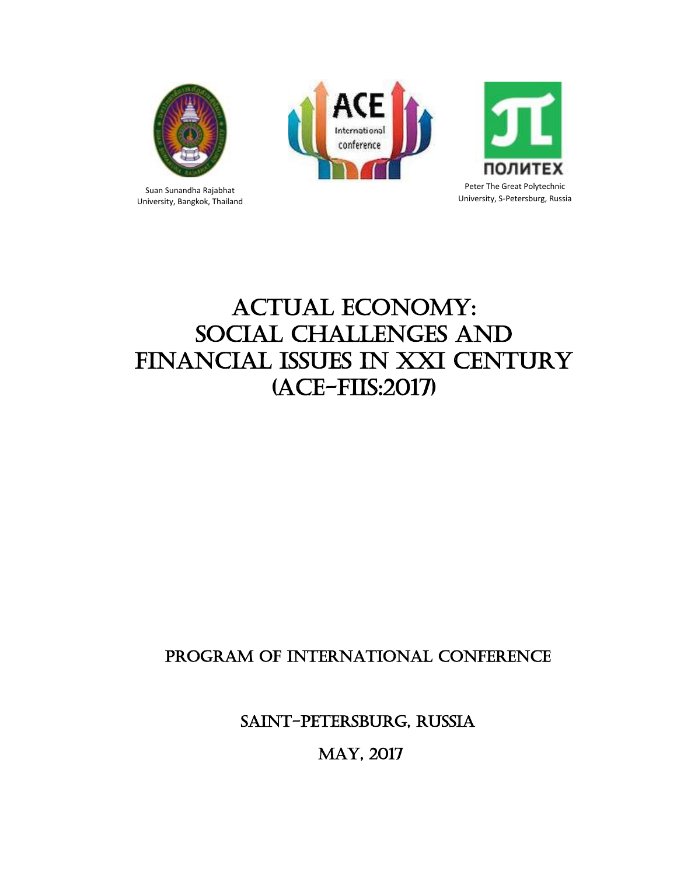

Suan Sunandha Rajabhat University, Bangkok, Thailand





# ACTUAL ECONOMY: Social Challenges and Financial Issues in XXI century (ACE-FIIS:2017)

# PROGRAM OF INTERNATIONAL CONFERENCE

Saint-Petersburg, Russia

MAY, 2017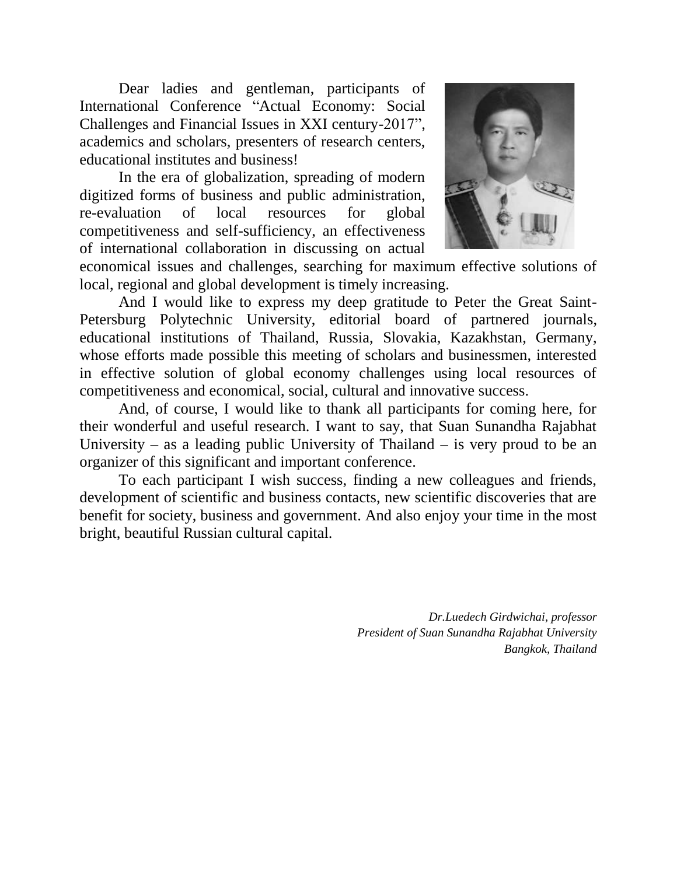Dear ladies and gentleman, participants of International Conference "Actual Economy: Social Challenges and Financial Issues in XXI century-2017", academics and scholars, presenters of research centers, educational institutes and business!

In the era of globalization, spreading of modern digitized forms of business and public administration, re-evaluation of local resources for global competitiveness and self-sufficiency, an effectiveness of international collaboration in discussing on actual



economical issues and challenges, searching for maximum effective solutions of local, regional and global development is timely increasing.

And I would like to express my deep gratitude to Peter the Great Saint-Petersburg Polytechnic University, editorial board of partnered journals, educational institutions of Thailand, Russia, Slovakia, Kazakhstan, Germany, whose efforts made possible this meeting of scholars and businessmen, interested in effective solution of global economy challenges using local resources of competitiveness and economical, social, cultural and innovative success.

And, of course, I would like to thank all participants for coming here, for their wonderful and useful research. I want to say, that Suan Sunandha Rajabhat University – as a leading public University of Thailand – is very proud to be an organizer of this significant and important conference.

To each participant I wish success, finding a new colleagues and friends, development of scientific and business contacts, new scientific discoveries that are benefit for society, business and government. And also enjoy your time in the most bright, beautiful Russian cultural capital.

> *Dr.Luedech Girdwichai, professor President of Suan Sunandha Rajabhat University Bangkok, Thailand*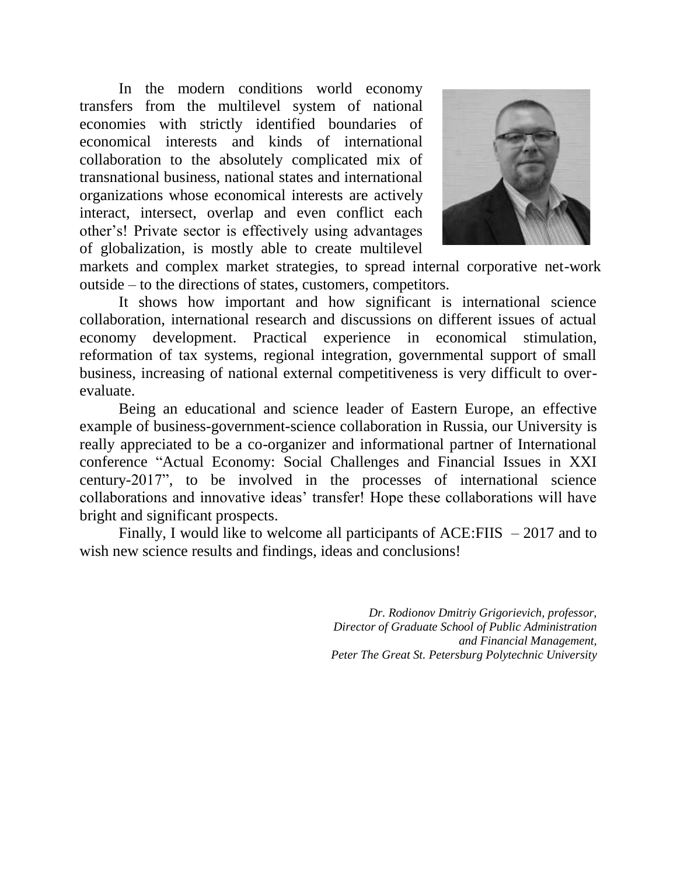In the modern conditions world economy transfers from the multilevel system of national economies with strictly identified boundaries of economical interests and kinds of international collaboration to the absolutely complicated mix of transnational business, national states and international organizations whose economical interests are actively interact, intersect, overlap and even conflict each other's! Private sector is effectively using advantages of globalization, is mostly able to create multilevel



,, markets and complex market strategies, to spread internal corporative net-work outside – to the directions of states, customers, competitors.

It shows how important and how significant is international science collaboration, international research and discussions on different issues of actual economy development. Practical experience in economical stimulation, reformation of tax systems, regional integration, governmental support of small business, increasing of national external competitiveness is very difficult to overevaluate.

Being an educational and science leader of Eastern Europe, an effective example of business-government-science collaboration in Russia, our University is really appreciated to be a co-organizer and informational partner of International conference "Actual Economy: Social Challenges and Financial Issues in XXI century-2017", to be involved in the processes of international science collaborations and innovative ideas' transfer! Hope these collaborations will have bright and significant prospects.

Finally, I would like to welcome all participants of  $ACE: F I I S - 2017$  and to wish new science results and findings, ideas and conclusions!

> *Dr. Rodionov Dmitriy Grigorievich, professor, Director of Graduate School of Public Administration and Financial Management, Peter The Great St. Petersburg Polytechnic University*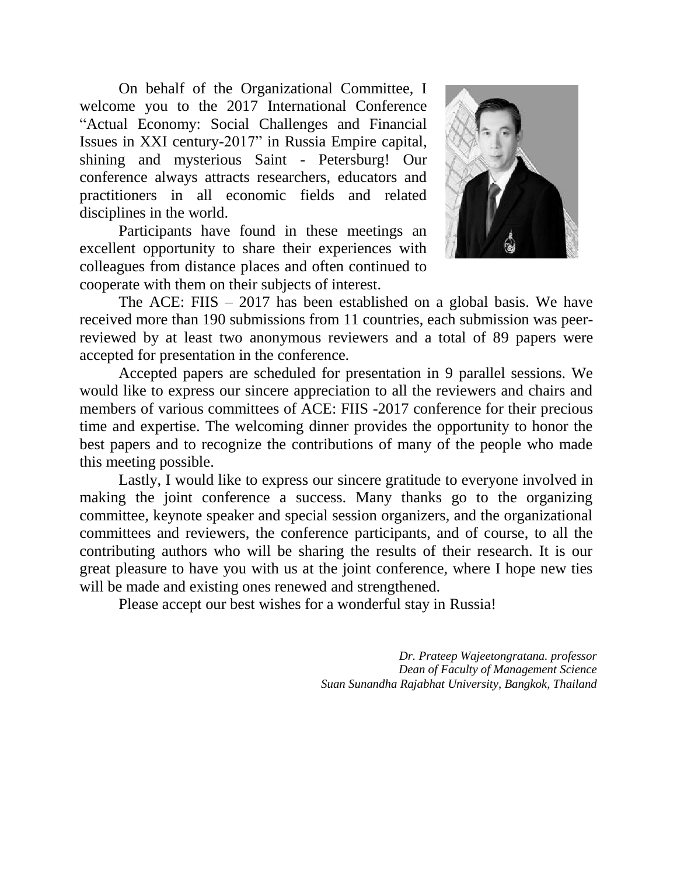On behalf of the Organizational Committee, I welcome you to the 2017 International Conference "Actual Economy: Social Challenges and Financial Issues in XXI century-2017" in Russia Empire capital, shining and mysterious Saint - Petersburg! Our conference always attracts researchers, educators and practitioners in all economic fields and related disciplines in the world.

Participants have found in these meetings an excellent opportunity to share their experiences with colleagues from distance places and often continued to cooperate with them on their subjects of interest.



The ACE: FIIS – 2017 has been established on a global basis. We have received more than 190 submissions from 11 countries, each submission was peerreviewed by at least two anonymous reviewers and a total of 89 papers were accepted for presentation in the conference.

Accepted papers are scheduled for presentation in 9 parallel sessions. We would like to express our sincere appreciation to all the reviewers and chairs and members of various committees of ACE: FIIS -2017 conference for their precious time and expertise. The welcoming dinner provides the opportunity to honor the best papers and to recognize the contributions of many of the people who made this meeting possible.

Lastly, I would like to express our sincere gratitude to everyone involved in making the joint conference a success. Many thanks go to the organizing committee, keynote speaker and special session organizers, and the organizational committees and reviewers, the conference participants, and of course, to all the contributing authors who will be sharing the results of their research. It is our great pleasure to have you with us at the joint conference, where I hope new ties will be made and existing ones renewed and strengthened.

Please accept our best wishes for a wonderful stay in Russia!

*Dr. Prateep Wajeetongratana. professor Dean of Faculty of Management Science Suan Sunandha Rajabhat University, Bangkok, Thailand*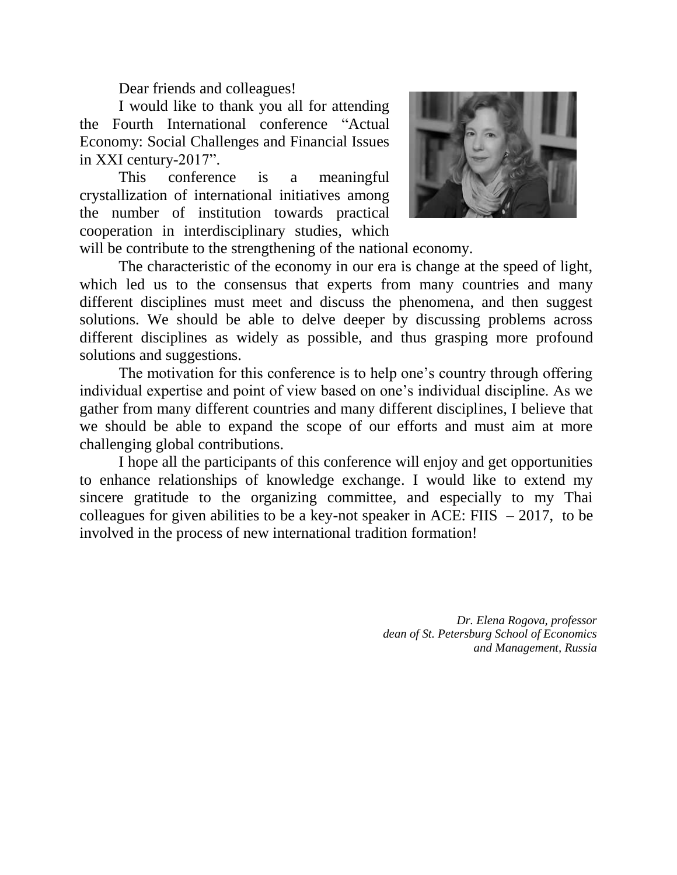Dear friends and colleagues!

I would like to thank you all for attending the Fourth International conference "Actual Economy: Social Challenges and Financial Issues in XXI century-2017".

This conference is a meaningful crystallization of international initiatives among the number of institution towards practical cooperation in interdisciplinary studies, which



will be contribute to the strengthening of the national economy.

The characteristic of the economy in our era is change at the speed of light, which led us to the consensus that experts from many countries and many different disciplines must meet and discuss the phenomena, and then suggest solutions. We should be able to delve deeper by discussing problems across different disciplines as widely as possible, and thus grasping more profound solutions and suggestions.

The motivation for this conference is to help one's country through offering individual expertise and point of view based on one's individual discipline. As we gather from many different countries and many different disciplines, I believe that we should be able to expand the scope of our efforts and must aim at more challenging global contributions.

I hope all the participants of this conference will enjoy and get opportunities to enhance relationships of knowledge exchange. I would like to extend my sincere gratitude to the organizing committee, and especially to my Thai colleagues for given abilities to be a key-not speaker in ACE: FIIS  $-2017$ , to be involved in the process of new international tradition formation!

> *Dr. Elena Rogova, professor dean of St. Petersburg School of Economics and Management, Russia*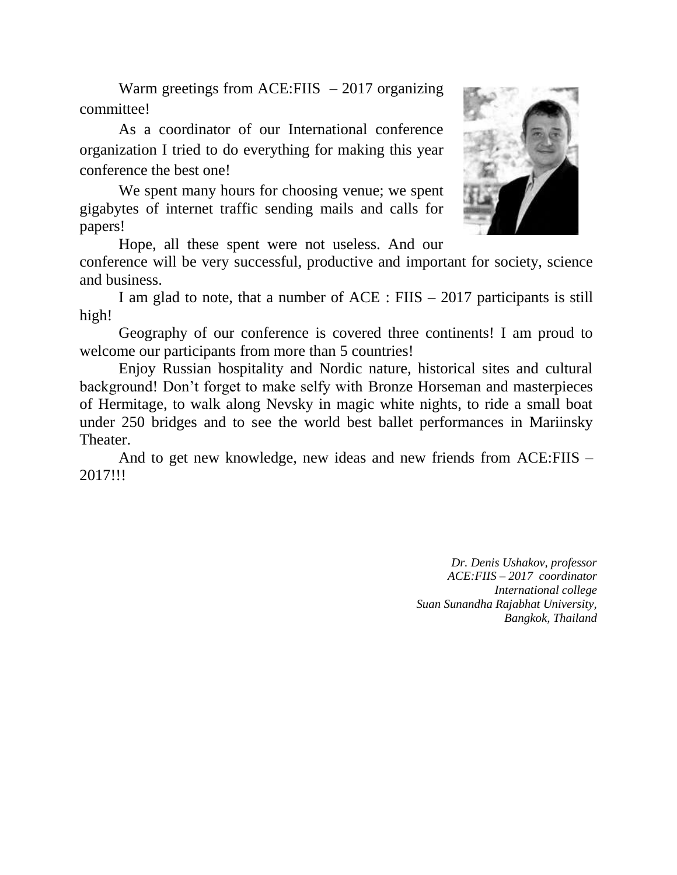Warm greetings from ACE:FIIS  $-2017$  organizing committee!

As a coordinator of our International conference organization I tried to do everything for making this year conference the best one!

We spent many hours for choosing venue; we spent gigabytes of internet traffic sending mails and calls for papers!

Hope, all these spent were not useless. And our

conference will be very successful, productive and important for society, science and business.

I am glad to note, that a number of  $ACE$  :  $F IIS - 2017$  participants is still high!

Geography of our conference is covered three continents! I am proud to welcome our participants from more than 5 countries!

Enjoy Russian hospitality and Nordic nature, historical sites and cultural background! Don't forget to make selfy with Bronze Horseman and masterpieces of Hermitage, to walk along Nevsky in magic white nights, to ride a small boat under 250 bridges and to see the world best ballet performances in Mariinsky Theater.

And to get new knowledge, new ideas and new friends from [ACE:](mailto:ICOI-2013@Huahin.TH)FIIS – 2017!!!

> *Dr. Denis Ushakov, professor ACE:FIIS – 2017 coordinator International college Suan Sunandha Rajabhat University, Bangkok, Thailand*

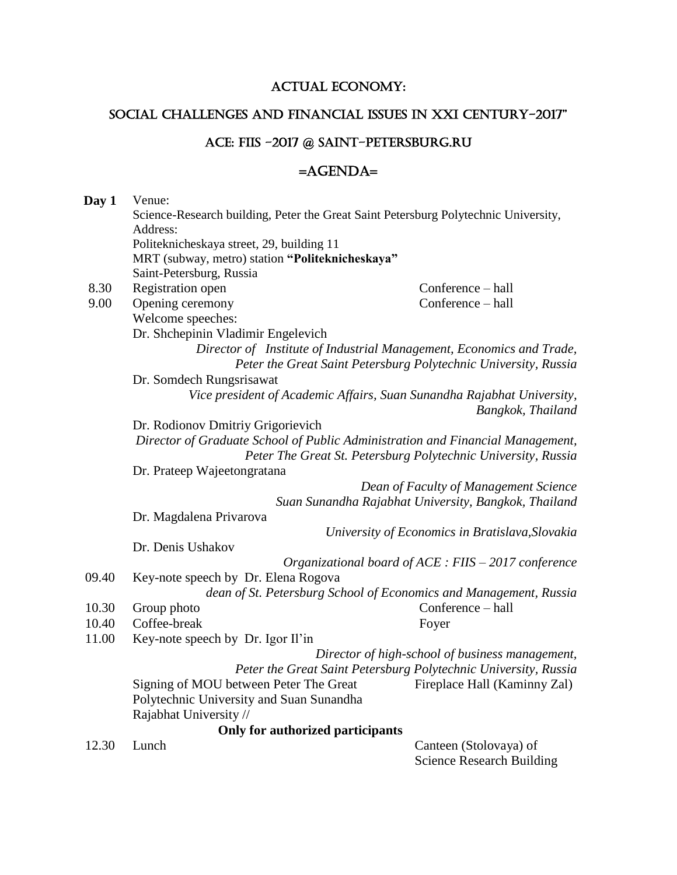# ACTUAL ECONOMY:

# Social Challenges and Financial Issues in XXI century-2017"

# ACE: FIIS ~2017 @ SAINT-PETERSBURG.RU

# =AGENDA=

| Day 1 | Venue:                                                                                          |                                                                                |  |
|-------|-------------------------------------------------------------------------------------------------|--------------------------------------------------------------------------------|--|
|       | Science-Research building, Peter the Great Saint Petersburg Polytechnic University,<br>Address: |                                                                                |  |
|       |                                                                                                 |                                                                                |  |
|       | Politeknicheskaya street, 29, building 11                                                       |                                                                                |  |
|       | MRT (subway, metro) station "Politeknicheskaya"                                                 |                                                                                |  |
|       | Saint-Petersburg, Russia                                                                        |                                                                                |  |
| 8.30  | Registration open                                                                               | Conference - hall                                                              |  |
| 9.00  | Opening ceremony                                                                                | Conference - hall                                                              |  |
|       | Welcome speeches:                                                                               |                                                                                |  |
|       | Dr. Shchepinin Vladimir Engelevich                                                              |                                                                                |  |
|       | Director of Institute of Industrial Management, Economics and Trade,                            |                                                                                |  |
|       |                                                                                                 | Peter the Great Saint Petersburg Polytechnic University, Russia                |  |
|       | Dr. Somdech Rungsrisawat                                                                        |                                                                                |  |
|       |                                                                                                 | Vice president of Academic Affairs, Suan Sunandha Rajabhat University,         |  |
|       |                                                                                                 | Bangkok, Thailand                                                              |  |
|       | Dr. Rodionov Dmitriy Grigorievich                                                               |                                                                                |  |
|       |                                                                                                 | Director of Graduate School of Public Administration and Financial Management, |  |
|       |                                                                                                 | Peter The Great St. Petersburg Polytechnic University, Russia                  |  |
|       | Dr. Prateep Wajeetongratana                                                                     |                                                                                |  |
|       |                                                                                                 | Dean of Faculty of Management Science                                          |  |
|       |                                                                                                 | Suan Sunandha Rajabhat University, Bangkok, Thailand                           |  |
|       | Dr. Magdalena Privarova                                                                         |                                                                                |  |
|       |                                                                                                 | University of Economics in Bratislava, Slovakia                                |  |
|       | Dr. Denis Ushakov                                                                               |                                                                                |  |
|       |                                                                                                 | Organizational board of $ACE$ : FIIS $-$ 2017 conference                       |  |
| 09.40 | Key-note speech by Dr. Elena Rogova                                                             |                                                                                |  |
|       |                                                                                                 | dean of St. Petersburg School of Economics and Management, Russia              |  |
| 10.30 | Group photo                                                                                     | Conference - hall                                                              |  |
| 10.40 | Coffee-break                                                                                    | Foyer                                                                          |  |
| 11.00 | Key-note speech by Dr. Igor Il'in                                                               |                                                                                |  |
|       | Director of high-school of business management,                                                 |                                                                                |  |
|       |                                                                                                 | Peter the Great Saint Petersburg Polytechnic University, Russia                |  |
|       | Signing of MOU between Peter The Great                                                          | Fireplace Hall (Kaminny Zal)                                                   |  |
|       | Polytechnic University and Suan Sunandha                                                        |                                                                                |  |
|       | Rajabhat University //                                                                          |                                                                                |  |
|       | Only for authorized participants                                                                |                                                                                |  |
| 12.30 | Lunch                                                                                           | Canteen (Stolovaya) of<br><b>Science Research Building</b>                     |  |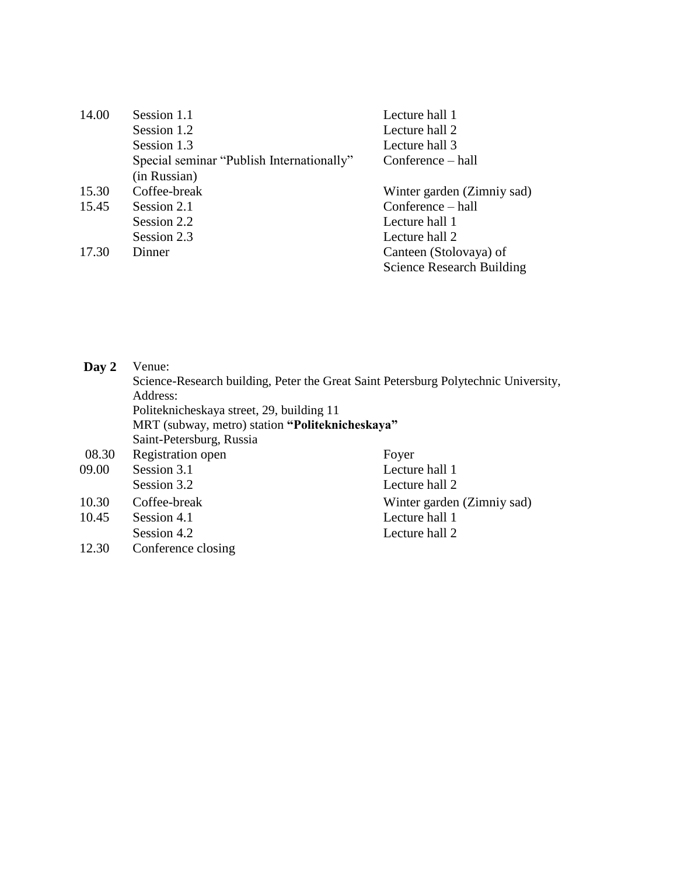| 14.00 | Session 1.1                               | Lecture hall 1                   |
|-------|-------------------------------------------|----------------------------------|
|       | Session 1.2                               | Lecture hall 2                   |
|       | Session 1.3                               | Lecture hall 3                   |
|       | Special seminar "Publish Internationally" | Conference – hall                |
|       | (in Russian)                              |                                  |
| 15.30 | Coffee-break                              | Winter garden (Zimniy sad)       |
| 15.45 | Session 2.1                               | Conference – hall                |
|       | Session 2.2                               | Lecture hall 1                   |
|       | Session 2.3                               | Lecture hall 2                   |
| 17.30 | Dinner                                    | Canteen (Stolovaya) of           |
|       |                                           | <b>Science Research Building</b> |

| Day 2          | Venue:<br>Science-Research building, Peter the Great Saint Petersburg Polytechnic University,<br>Address:<br>Politeknicheskaya street, 29, building 11<br>MRT (subway, metro) station "Politeknicheskaya"<br>Saint-Petersburg, Russia |                                                                |
|----------------|---------------------------------------------------------------------------------------------------------------------------------------------------------------------------------------------------------------------------------------|----------------------------------------------------------------|
| 08.30<br>09.00 | Registration open<br>Session 3.1                                                                                                                                                                                                      | Foyer<br>Lecture hall 1                                        |
| 10.30<br>10.45 | Session 3.2<br>Coffee-break<br>Session 4.1                                                                                                                                                                                            | Lecture hall 2<br>Winter garden (Zimniy sad)<br>Lecture hall 1 |
| 12.30          | Session 4.2<br>Conference closing                                                                                                                                                                                                     | Lecture hall 2                                                 |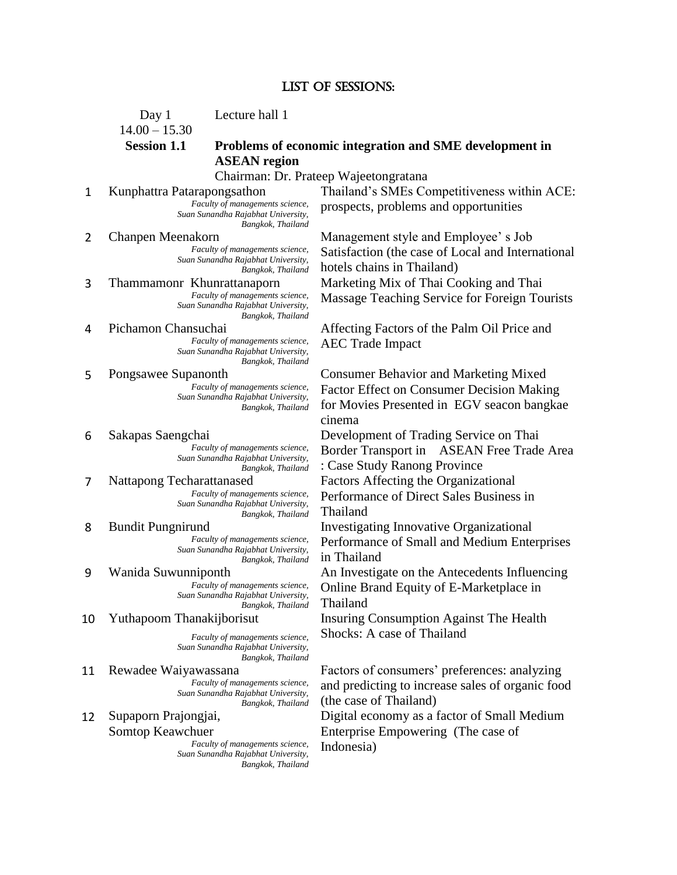### List of SESSIONS:

Day 1 Lecture hall 1

 $14.00 - 15.30$ 

# **Session 1.1 Problems of economic integration and SME development in ASEAN region**

Chairman: Dr. Prateep Wajeetongratana

*Suan Sunandha Rajabhat University, Bangkok, Thailand*

*Faculty of managements science, Suan Sunandha Rajabhat University, Bangkok, Thailand*

*Suan Sunandha Rajabhat University, Bangkok, Thailand*

*Suan Sunandha Rajabhat University, Bangkok, Thailand*

*Faculty of managements science, Suan Sunandha Rajabhat University, Bangkok, Thailand*

*Faculty of managements science, Suan Sunandha Rajabhat University, Bangkok, Thailand*

# *Faculty of managements science,*

*Suan Sunandha Rajabhat University, Bangkok, Thailand*

# *Faculty of managements science,*

*Suan Sunandha Rajabhat University, Bangkok, Thailand*

*Faculty of managements science, Suan Sunandha Rajabhat University, Bangkok, Thailand*

*Suan Sunandha Rajabhat University, Bangkok, Thailand*

*Faculty of managements science, Suan Sunandha Rajabhat University, Bangkok, Thailand*

### 12 Supaporn Prajongjai, Somtop Keawchuer

Faculty of managements science, **Indonesia**) *Suan Sunandha Rajabhat University, Bangkok, Thailand*

1 Kunphattra Patarapongsathon Thailand's SMEs Competitiveness within ACE:<br>Faculty of managements science, prospects problems and opportunities prospects, problems and opportunities

2 Chanpen Meenakorn Management style and Employee' s Job Satisfaction (the case of Local and International hotels chains in Thailand) 3 Thammamonr Khunrattanaporn Marketing Mix of Thai Cooking and Thai Faculty of managements science. Mossogga Topphing Service for Ecroicn To **Massage Teaching Service for Foreign Tourists** 

4 Pichamon Chansuchai Affecting Factors of the Palm Oil Price and<br>Faculty of managements science, AFC Trade Impact AEC Trade Impact *Faculty of managements science,*

5 Pongsawee Supanonth Consumer Behavior and Marketing Mixed Factor Effect on Consumer Decision Making for Movies Presented in EGV seacon bangkae cinema

6 Sakapas Saengchai Development of Trading Service on Thai Border Transport in ASEAN Free Trade Area : Case Study Ranong Province

7 Nattapong Techarattanased Factors Affecting the Organizational Performance of Direct Sales Business in Thailand

8 Bundit Pungnirund Investigating Innovative Organizational Performance of Small and Medium Enterprises in Thailand

9 Wanida Suwunniponth An Investigate on the Antecedents Influencing Online Brand Equity of E-Marketplace in Thailand

10 Yuthapoom Thanakijborisut Insuring Consumption Against The Health *Faculty of managements science,* Shocks: A case of Thailand

11 Rewadee Waiyawassana Factors of consumers' preferences: analyzing and predicting to increase sales of organic food (the case of Thailand)

> Digital economy as a factor of Small Medium Enterprise Empowering (The case of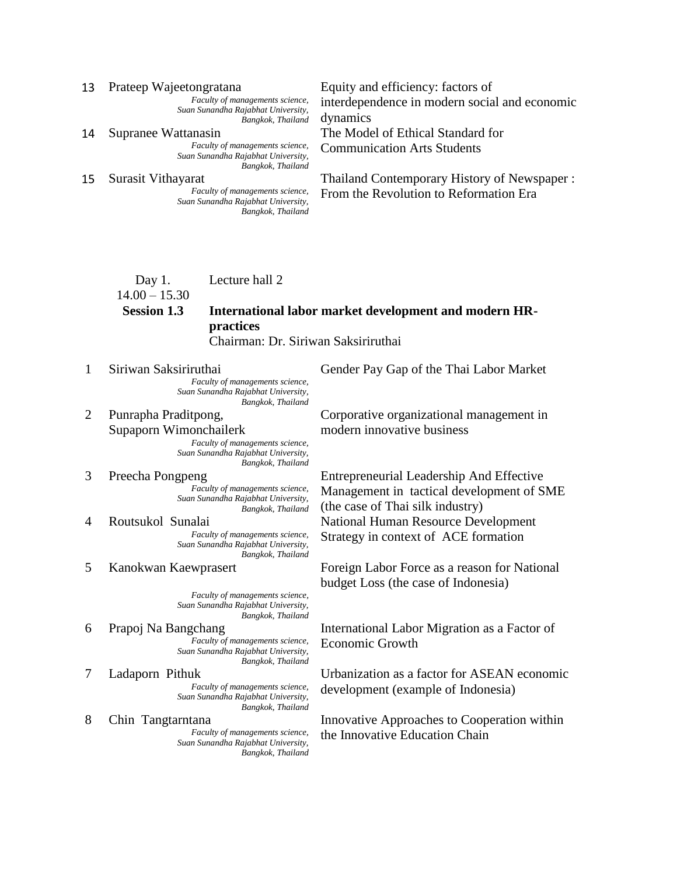*Faculty of managements science, Suan Sunandha Rajabhat University, Bangkok, Thailand*

*Suan Sunandha Rajabhat University, Bangkok, Thailand*

*Suan Sunandha Rajabhat University, Bangkok, Thailand*

13 Prateep Wajeetongratana Equity and efficiency: factors of interdependence in modern social and economic dynamics 14 Supranee Wattanasin The Model of Ethical Standard for<br>Faculty of managements science, Communication Arts Students

**Communication Arts Students** 

15 Surasit Vithayarat Thailand Contemporary History of Newspaper :<br>From the Revolution to Reformation Frace From the Revolution to Reformation Era

### Day 1. Lecture hall 2

# $14.00 - 15.30$

## **Session 1.3 International labor market development and modern HRpractices**  Chairman: Dr. Siriwan Saksiriruthai

*Faculty of managements science, Suan Sunandha Rajabhat University,* 

*Bangkok, Thailand* 2 Punrapha Praditpong, Supaporn Wimonchailerk

*Faculty of managements science, Suan Sunandha Rajabhat University, Bangkok, Thailand*

# *Faculty of managements science, Suan Sunandha Rajabhat University, Bangkok, Thailand*

*Suan Sunandha Rajabhat University, Bangkok, Thailand*

*Faculty of managements science, Suan Sunandha Rajabhat University, Bangkok, Thailand*

# Economic Growth *Faculty of managements science, Suan Sunandha Rajabhat University, Bangkok, Thailand*

*Suan Sunandha Rajabhat University, Bangkok, Thailand*

*Suan Sunandha Rajabhat University, Bangkok, Thailand*

1 Siriwan Saksiriruthai Gender Pay Gap of the Thai Labor Market

Corporative organizational management in modern innovative business

3 Preecha Pongpeng Entrepreneurial Leadership And Effective Management in tactical development of SME (the case of Thai silk industry) 4 Routsukol Sunalai National Human Resource Development Faculty of managements science, **Strategy in context of ACE formation** 

5 Kanokwan Kaewprasert Foreign Labor Force as a reason for National budget Loss (the case of Indonesia)

6 Prapoj Na Bangchang International Labor Migration as a Factor of

7 Ladaporn Pithuk Urbanization as a factor for ASEAN economic Faculty of managements science, development (example of Indonesia)

8 Chin Tangtarntana Innovative Approaches to Cooperation within<br>Faculty of managements science, the Innovative Education Chain the Innovative Education Chain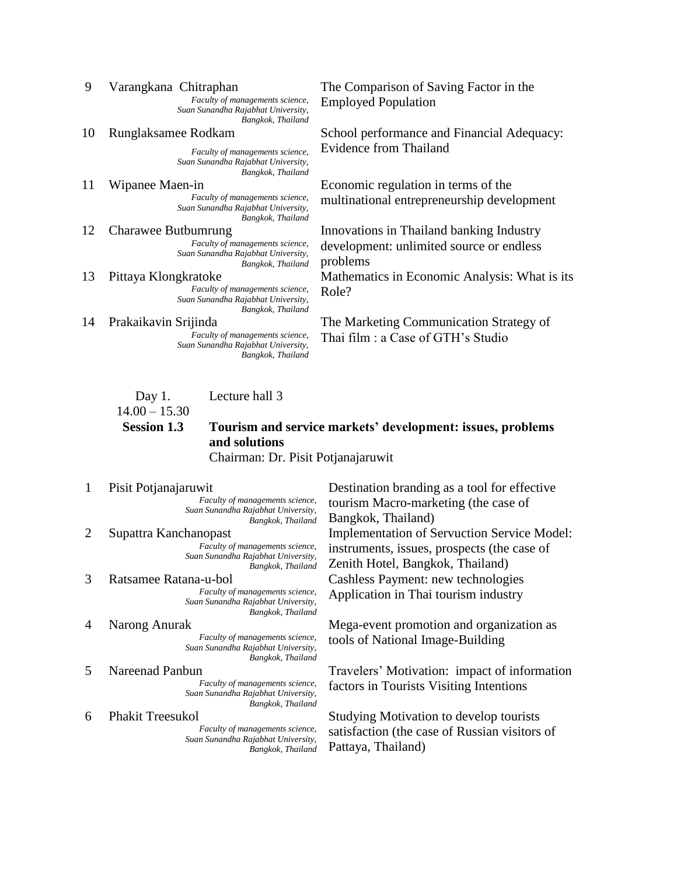*Suan Sunandha Rajabhat University, Bangkok, Thailand*

*Suan Sunandha Rajabhat University, Bangkok, Thailand*

*Suan Sunandha Rajabhat University, Bangkok, Thailand*

*Faculty of managements science, Suan Sunandha Rajabhat University, Bangkok, Thailand*

Faculty of managements science,  $Role?$ *Suan Sunandha Rajabhat University, Bangkok, Thailand*

*Suan Sunandha Rajabhat University, Bangkok, Thailand*

9 Varangkana Chitraphan The Comparison of Saving Factor in the Faculty of managements science. Employed Bopyletion Employed Population *Faculty of managements science,*

10 Runglaksamee Rodkam School performance and Financial Adequacy: *Faculty of managements science,* Evidence from Thailand

11 Wipanee Maen-in Economic regulation in terms of the multinational entrepreneurship development *Faculty of managements science,*

12 Charawee Butbumrung Innovations in Thailand banking Industry development: unlimited source or endless problems

13 Pittaya Klongkratoke Mathematics in Economic Analysis: What is its

14 Prakaikavin Srijinda The Marketing Communication Strategy of Faculty of managements science, Thai film : a Case of GTH's Studio

### Day 1. Lecture hall 3

### $14.00 - 15.30$

# **Session 1.3 Tourism and service markets' development: issues, problems and solutions**

Chairman: Dr. Pisit Potjanajaruwit

## *Faculty of managements science, Suan Sunandha Rajabhat University, Bangkok, Thailand*

*Faculty of managements science,*

*Suan Sunandha Rajabhat University, Bangkok, Thailand*

*Suan Sunandha Rajabhat University, Bangkok, Thailand*

*Suan Sunandha Rajabhat University, Bangkok, Thailand*

*Suan Sunandha Rajabhat University, Bangkok, Thailand*

*Faculty of managements science, Suan Sunandha Rajabhat University, Bangkok, Thailand*

1 Pisit Potjanajaruwit Destination branding as a tool for effective tourism Macro-marketing (the case of Bangkok, Thailand) 2 Supattra Kanchanopast Implementation of Servuction Service Model: instruments, issues, prospects (the case of Zenith Hotel, Bangkok, Thailand) 3 Ratsamee Ratana-u-bol Cashless Payment: new technologies Application in Thai tourism industry *Faculty of managements science,*

4 Narong Anurak Mega-event promotion and organization as Faculty of managements science, tools of National Image-Building

5 Nareenad Panbun<br>Faculty of managements science, factors in Tourists Visiting Intentions factors in Tourists Visiting Intentions

6 Phakit Treesukol Studying Motivation to develop tourists satisfaction (the case of Russian visitors of Pattaya, Thailand)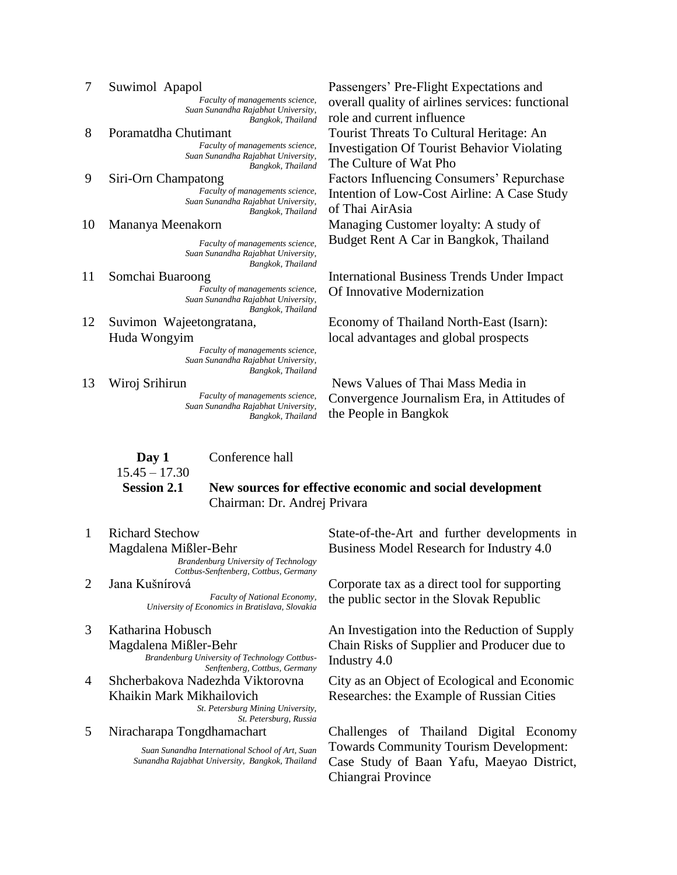*Faculty of managements science, Suan Sunandha Rajabhat University, Bangkok, Thailand*

*Faculty of managements science,*

*Suan Sunandha Rajabhat University, Bangkok, Thailand*

*Faculty of managements science, Suan Sunandha Rajabhat University, Bangkok, Thailand*

*Suan Sunandha Rajabhat University, Bangkok, Thailand*

- *Suan Sunandha Rajabhat University,*
- *Bangkok, Thailand* 12 Suvimon Wajeetongratana, Huda Wongyim

*Faculty of managements science, Suan Sunandha Rajabhat University, Bangkok, Thailand*

*Faculty of managements science, Suan Sunandha Rajabhat University, Bangkok, Thailand*

**Day 1** Conference hall

 $15.45 - 17.30$ 

# **Session 2.1 New sources for effective economic and social development** Chairman: Dr. Andrej Privara

1 Richard Stechow Magdalena Mißler-Behr

> *Brandenburg University of Technology Cottbus-Senftenberg, Cottbus, Germany*

*University of Economics in Bratislava, Slovakia*

## 3 Katharina Hobusch Magdalena Mißler-Behr Industry 4.0 *Brandenburg University of Technology Cottbus-*

*Senftenberg, Cottbus, Germany*

4 Shcherbakova Nadezhda Viktorovna Khaikin Mark Mikhailovich *St. Petersburg Mining University,* 

*St. Petersburg, Russia*

*Suan Sunandha International School of Art, Suan Sunandha Rajabhat University, Bangkok, Thailand*

7 Suwimol Apapol Passengers' Pre-Flight Expectations and overall quality of airlines services: functional role and current influence 8 Poramatdha Chutimant Tourist Threats To Cultural Heritage: An Investigation Of Tourist Behavior Violating The Culture of Wat Pho 9 Siri-Orn Champatong Factors Influencing Consumers' Repurchase Intention of Low-Cost Airline: A Case Study of Thai AirAsia 10 Mananya Meenakorn Managing Customer loyalty: A study of *Faculty of managements science,* Budget Rent A Car in Bangkok, Thailand

11 Somchai Buaroong International Business Trends Under Impact Of Innovative Modernization *Faculty of managements science,*

> Economy of Thailand North-East (Isarn): local advantages and global prospects

13 Wiroj Srihirun News Values of Thai Mass Media in Convergence Journalism Era, in Attitudes of the People in Bangkok

> State-of-the-Art and further developments in Business Model Research for Industry 4.0

2 Jana Kušnírová Corporate tax as a direct tool for supporting Faculty of National Economy, the public sector in the Slovak Republic

> An Investigation into the Reduction of Supply Chain Risks of Supplier and Producer due to

> City as an Object of Ecological and Economic Researches: the Example of Russian Cities

5 Niracharapa Tongdhamachart Challenges of Thailand Digital Economy Towards Community Tourism Development: Case Study of Baan Yafu, Maeyao District, Chiangrai Province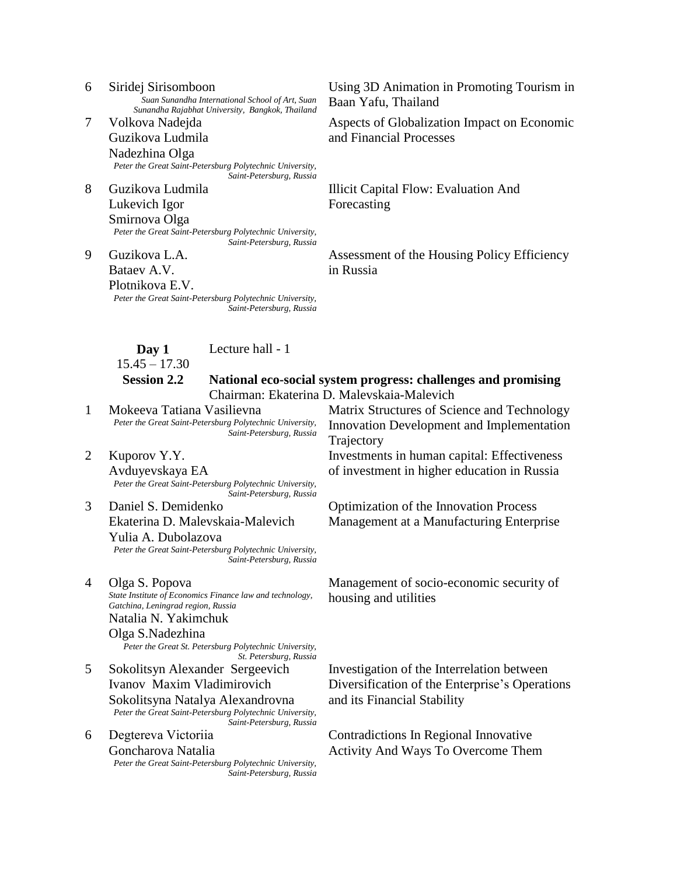- *Sunandha Rajabhat University, Bangkok, Thailand* 7 Volkova Nadejda Guzikova Ludmila Nadezhina Olga *Peter the Great Saint-Petersburg Polytechnic University, Saint-Petersburg, Russia*
- 8 Guzikova Ludmila Lukevich Igor Smirnova Olga *Peter the Great Saint-Petersburg Polytechnic University, Saint-Petersburg, Russia*

9 Guzikova L.A. Bataev A.V. Plotnikova E.V. *Peter the Great Saint-Petersburg Polytechnic University, Saint-Petersburg, Russia*

6 Siridej Sirisomboon Using 3D Animation in Promoting Tourism in Baan Yafu, Thailand

> Aspects of Globalization Impact on Economic and Financial Processes

Illicit Capital Flow: Evaluation And Forecasting

Assessment of the Housing Policy Efficiency in Russia

**Day 1**

Lecture hall - 1

 $15.45 - 17.30$ 

### **Session 2.2 National eco-social system progress: challenges and promising**  Chairman: Ekaterina D. Malevskaia-Malevich

*Peter the Great Saint-Petersburg Polytechnic University, Saint-Petersburg, Russia*

2 Kuporov Y.Y. Avduyevskaya EA *Peter the Great Saint-Petersburg Polytechnic University, Saint-Petersburg, Russia*

3 Daniel S. Demidenko Ekaterina D. Malevskaia-Malevich Yulia A. Dubolazova *Peter the Great Saint-Petersburg Polytechnic University, Saint-Petersburg, Russia*

4 Olga S. Popova Management of socio-economic security of housing and utilities *State Institute of Economics Finance law and technology, Gatchina, Leningrad region, Russia* Natalia N. Yakimchuk

## Olga S.Nadezhina

*Peter the Great St. Petersburg Polytechnic University, St. Petersburg, Russia*

- 5 Sokolitsyn Alexander Sergeevich Ivanov Maxim Vladimirovich Sokolitsyna Natalya Alexandrovna *Peter the Great Saint-Petersburg Polytechnic University, Saint-Petersburg, Russia*
- 6 Degtereva Viсtoriia Goncharova Natalia *Peter the Great Saint-Petersburg Polytechnic University, Saint-Petersburg, Russia*

1 Mokeeva Tatiana Vasilievna Matrix Structures of Science and Technology Innovation Development and Implementation Trajectory

> Investments in human capital: Effectiveness of investment in higher education in Russia

Optimization of the Innovation Process Management at a Manufacturing Enterprise

Investigation of the Interrelation between Diversification of the Enterprise's Operations and its Financial Stability

Contradictions In Regional Innovative Activity And Ways To Overcome Them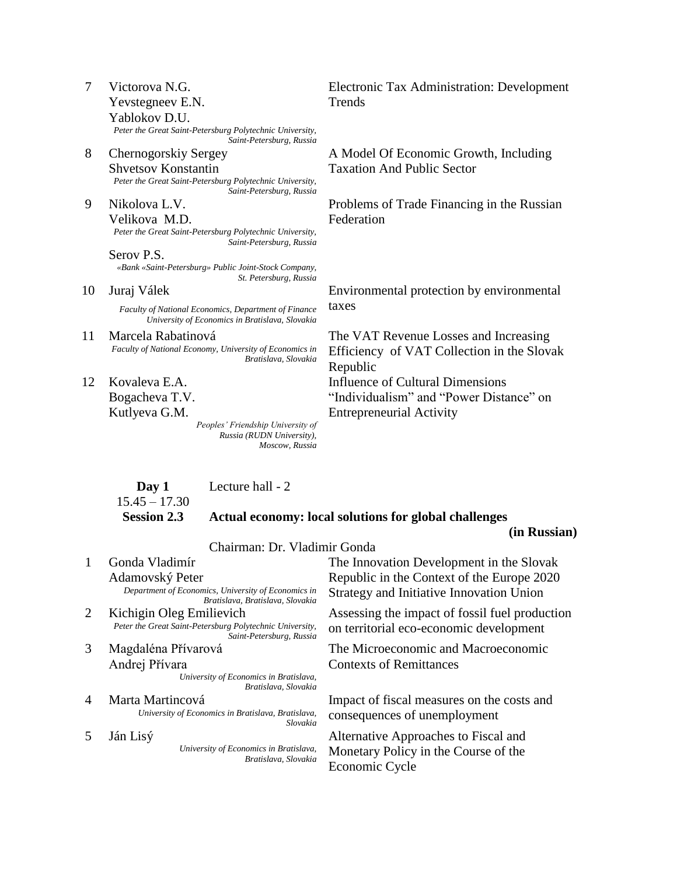|   | Victorova N.G.                                           |
|---|----------------------------------------------------------|
|   | Yevstegneev E.N.                                         |
|   | Yablokov D.U.                                            |
|   | Peter the Great Saint-Petersburg Polytechnic University, |
|   | Saint-Petersburg, Russia                                 |
| Q | Charnagarakiy Cargoy                                     |

- 8 Chernogorskiy Sergey Shvetsov Konstantin *Peter the Great Saint-Petersburg Polytechnic University, Saint-Petersburg, Russia*
- 9 Nikolova L.V. Velikova M.D. *Peter the Great Saint-Petersburg Polytechnic University, Saint-Petersburg, Russia*

Serov P.S. *«Bank «Saint-Petersburg» Public Joint-Stock Company, St. Petersburg, Russia*

- *Faculty of National Economics, Department of Finance* taxes *University of Economics in Bratislava, Slovakia*
- 11 Marcela Rabatinová The VAT Revenue Losses and Increasing *Faculty of National Economy, University of Economics in Bratislava, Slovakia*
- 12 Kovaleva E.A. Bogacheva T.V. Kutlyeva G.M.

1 Gonda Vladimír

*Peoples' Friendship University of Russia (RUDN University), Moscow, Russia* Electronic Tax Administration: Development **Trends** 

A Model Of Economic Growth, Including Taxation And Public Sector

Problems of Trade Financing in the Russian Federation

10 Juraj Válek Environmental protection by environmental

Efficiency of VAT Collection in the Slovak Republic Influence of Cultural Dimensions "Individualism" and "Power Distance" on Entrepreneurial Activity

### **Day 1**  $15.45 - 17.30$ Lecture hall - 2

### **Session 2.3 Actual economy: local solutions for global challenges**

### **(in Russian)**

Chairman: Dr. Vladimir Gonda

Adamovský Peter<br>Department of Economics, University of Economics in *Bratislava, Bratislava, Slovakia*

- *Saint-Petersburg, Russia*
- 3 Magdaléna Přívarová Andrej Přívara

*University of Economics in Bratislava, Bratislava, Slovakia*

- *University of Economics in Bratislava, Bratislava, consequences of unemployment Slovakia*
	- *University of Economics in Bratislava, Bratislava, Slovakia*

The Innovation Development in the Slovak Republic in the Context of the Europe 2020 Strategy and Initiative Innovation Union

2 Kichigin Oleg Emilievich Assessing the impact of fossil fuel production<br> *Peter the Great Saint-Petersburg Polytechnic University*, on territorial eco-economic development on territorial eco-economic development

> The Microeconomic and Macroeconomic Contexts of Remittances

4 Marta Martincová Impact of fiscal measures on the costs and

5 Ján Lisý Alternative Approaches to Fiscal and Monetary Policy in the Course of the Economic Cycle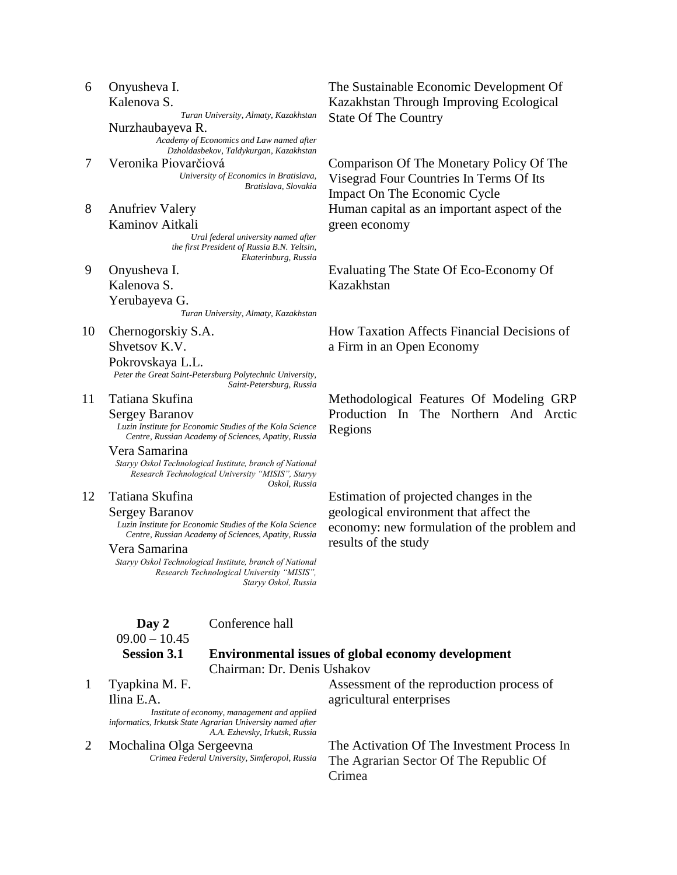| 10             | Chernogorskiy S.A.                                                                                                             | How Taxation Affects Financial Decisions of        |
|----------------|--------------------------------------------------------------------------------------------------------------------------------|----------------------------------------------------|
|                | Shvetsov K.V.                                                                                                                  | a Firm in an Open Economy                          |
|                | Pokrovskaya L.L.                                                                                                               |                                                    |
|                | Peter the Great Saint-Petersburg Polytechnic University,<br>Saint-Petersburg, Russia                                           |                                                    |
| 11             | Tatiana Skufina                                                                                                                | Methodological Features Of Modeling GRP            |
|                | <b>Sergey Baranov</b>                                                                                                          | Production In The Northern And Arctic              |
|                | Luzin Institute for Economic Studies of the Kola Science<br>Centre, Russian Academy of Sciences, Apatity, Russia               | Regions                                            |
|                | Vera Samarina                                                                                                                  |                                                    |
|                | Staryy Oskol Technological Institute, branch of National<br>Research Technological University "MISIS", Staryy<br>Oskol, Russia |                                                    |
| 12             | Tatiana Skufina                                                                                                                | Estimation of projected changes in the             |
|                | <b>Sergey Baranov</b>                                                                                                          | geological environment that affect the             |
|                | Luzin Institute for Economic Studies of the Kola Science                                                                       | economy: new formulation of the problem and        |
|                | Centre, Russian Academy of Sciences, Apatity, Russia<br>Vera Samarina                                                          | results of the study                               |
|                | Staryy Oskol Technological Institute, branch of National                                                                       |                                                    |
|                | Research Technological University "MISIS",                                                                                     |                                                    |
|                | Staryy Oskol, Russia                                                                                                           |                                                    |
|                | Conference hall<br>Day 2                                                                                                       |                                                    |
|                | $09.00 - 10.45$                                                                                                                |                                                    |
|                | <b>Session 3.1</b>                                                                                                             | Environmental issues of global economy development |
|                | Chairman: Dr. Denis Ushakov                                                                                                    |                                                    |
| $\mathbf{1}$   | Tyapkina M. F.                                                                                                                 | Assessment of the reproduction process of          |
|                | Ilina E.A.                                                                                                                     | agricultural enterprises                           |
|                | Institute of economy, management and applied<br>informatics, Irkutsk State Agrarian University named after                     |                                                    |
|                | A.A. Ezhevsky, Irkutsk, Russia                                                                                                 |                                                    |
| $\overline{2}$ | Mochalina Olga Sergeevna                                                                                                       | The Activation Of The Investment Process In        |
|                | Crimea Federal University, Simferopol, Russia                                                                                  | The Agrarian Sector Of The Republic Of             |
|                |                                                                                                                                | Crimea                                             |
|                |                                                                                                                                |                                                    |
|                |                                                                                                                                |                                                    |
|                |                                                                                                                                |                                                    |

Kalenova S. Yerubayeva G. *Turan University, Almaty, Kazakhstan*

*Academy of Economics and Law named after Dzholdasbekov, Taldykurgan, Kazakhstan*

*University of Economics in Bratislava,* 

*Ural federal university named after the first President of Russia B.N. Yeltsin,* 

*Bratislava, Slovakia*

*Ekaterinburg, Russia* 

7 Veronika Piovarčiová Comparison Of The Monetary Policy Of The

6 Onyusheva I. Kalenova S.

8 Anufriev Valery Kaminov Aitkali

9 Onyusheva I.

Nurzhaubayeva R.

Evaluating The State Of Eco-Economy Of Kazakhstan

Human capital as an important aspect of the

# The Sustainable Economic Development Of Kazakhstan Through Improving Ecological State Of The Country *Turan University, Almaty, Kazakhstan*

Visegrad Four Countries In Terms Of Its

Impact On The Economic Cycle

green economy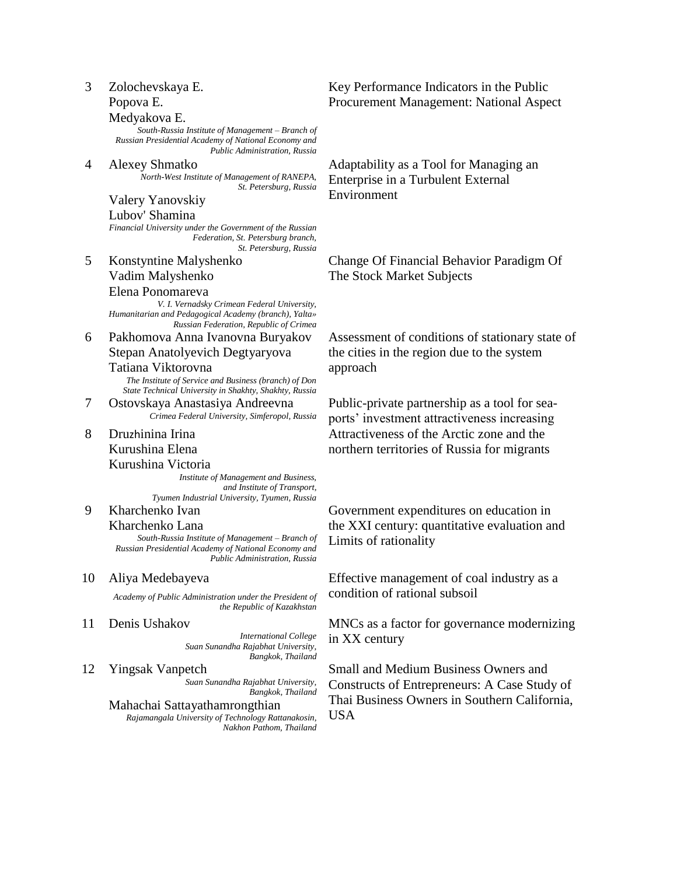| 3  | Zolochevskaya E.<br>Popova E.                                                                                                                                      | Key Performance Indicators in the Public<br>Procurement Management: National Aspect          |
|----|--------------------------------------------------------------------------------------------------------------------------------------------------------------------|----------------------------------------------------------------------------------------------|
|    | Medyakova E.<br>South-Russia Institute of Management - Branch of<br>Russian Presidential Academy of National Economy and<br>Public Administration, Russia          |                                                                                              |
| 4  | Alexey Shmatko<br>North-West Institute of Management of RANEPA,<br>St. Petersburg, Russia                                                                          | Adaptability as a Tool for Managing an<br>Enterprise in a Turbulent External<br>Environment  |
|    | Valery Yanovskiy<br>Lubov' Shamina<br>Financial University under the Government of the Russian                                                                     |                                                                                              |
|    | Federation, St. Petersburg branch,<br>St. Petersburg, Russia                                                                                                       |                                                                                              |
| 5  | Konstyntine Malyshenko                                                                                                                                             | Change Of Financial Behavior Paradigm Of                                                     |
|    | Vadim Malyshenko                                                                                                                                                   | The Stock Market Subjects                                                                    |
|    | Elena Ponomareva<br>V. I. Vernadsky Crimean Federal University,<br>Humanitarian and Pedagogical Academy (branch), Yalta»<br>Russian Federation, Republic of Crimea |                                                                                              |
| 6  | Pakhomova Anna Ivanovna Buryakov                                                                                                                                   | Assessment of conditions of stationary state of                                              |
|    | Stepan Anatolyevich Degtyaryova                                                                                                                                    | the cities in the region due to the system                                                   |
|    | Tatiana Viktorovna                                                                                                                                                 | approach                                                                                     |
|    | The Institute of Service and Business (branch) of Don<br>State Technical University in Shakhty, Shakhty, Russia                                                    |                                                                                              |
| 7  | Ostovskaya Anastasiya Andreevna<br>Crimea Federal University, Simferopol, Russia                                                                                   | Public-private partnership as a tool for sea-<br>ports' investment attractiveness increasing |
| 8  | Druzhinina Irina                                                                                                                                                   | Attractiveness of the Arctic zone and the                                                    |
|    | Kurushina Elena                                                                                                                                                    | northern territories of Russia for migrants                                                  |
|    | Kurushina Victoria<br>Institute of Management and Business,<br>and Institute of Transport,                                                                         |                                                                                              |
|    | Tyumen Industrial University, Tyumen, Russia                                                                                                                       |                                                                                              |
| 9  | Kharchenko Ivan                                                                                                                                                    | Government expenditures on education in                                                      |
|    | Kharchenko Lana<br>South-Russia Institute of Management - Branch of<br>Russian Presidential Academy of National Economy and<br>Public Administration, Russia       | the XXI century: quantitative evaluation and<br>Limits of rationality                        |
| 10 | Aliya Medebayeva                                                                                                                                                   | Effective management of coal industry as a                                                   |
|    | Academy of Public Administration under the President of<br>the Republic of Kazakhstan                                                                              | condition of rational subsoil                                                                |
| 11 | Denis Ushakov<br><b>International College</b><br>Suan Sunandha Rajabhat University,                                                                                | MNCs as a factor for governance modernizing<br>in XX century                                 |
| 12 | Bangkok, Thailand<br><b>Yingsak Vanpetch</b><br>Suan Sunandha Rajabhat University,<br>Bangkok, Thailand                                                            | Small and Medium Business Owners and<br>Constructs of Entrepreneurs: A Case Study of         |
|    | Mahachai Sattayathamrongthian<br>Rajamangala University of Technology Rattanakosin,<br>Nakhon Pathom, Thailand                                                     | Thai Business Owners in Southern California,<br><b>USA</b>                                   |
|    |                                                                                                                                                                    |                                                                                              |